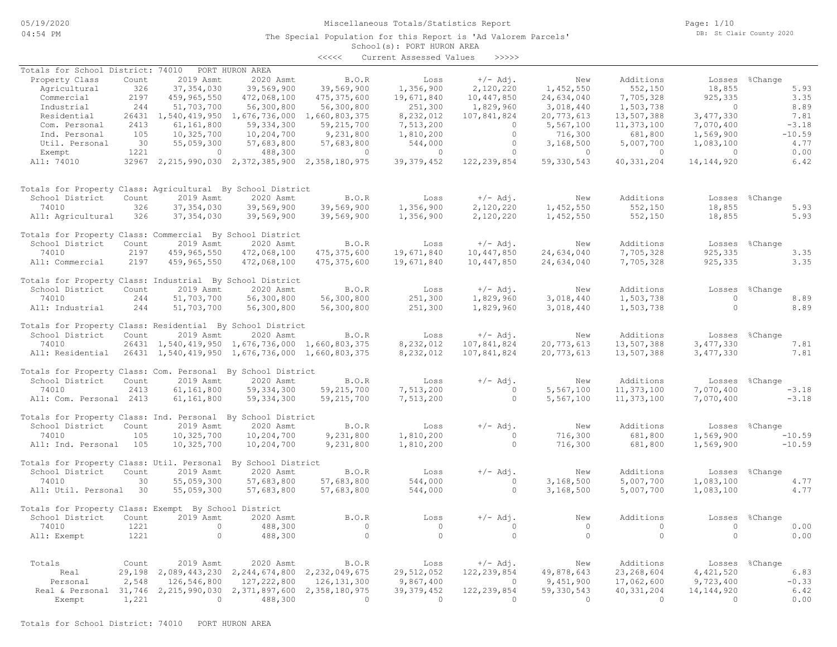## Miscellaneous Totals/Statistics Report

The Special Population for this Report is 'Ad Valorem Parcels'

Page: 1/10 DB: St Clair County 2020

# School(s): PORT HURON AREA

|                                                                  |        |                |                                                          | <<<<          | Current Assessed Values | >>>>>         |            |                |                |                |
|------------------------------------------------------------------|--------|----------------|----------------------------------------------------------|---------------|-------------------------|---------------|------------|----------------|----------------|----------------|
| Totals for School District: 74010                                |        |                | PORT HURON AREA                                          |               |                         |               |            |                |                |                |
| Property Class                                                   | Count  | 2019 Asmt      | 2020 Asmt                                                | B.O.R         | Loss                    | $+/-$ Adj.    | New        | Additions      |                | Losses %Change |
| Agricultural                                                     | 326    | 37, 354, 030   | 39,569,900                                               | 39,569,900    | 1,356,900               | 2,120,220     | 1,452,550  | 552,150        | 18,855         | 5.93           |
| Commercial                                                       | 2197   | 459,965,550    | 472,068,100                                              | 475, 375, 600 | 19,671,840              | 10,447,850    | 24,634,040 | 7,705,328      | 925,335        | 3.35           |
| Industrial                                                       | 244    | 51,703,700     | 56,300,800                                               | 56,300,800    | 251,300                 | 1,829,960     | 3,018,440  | 1,503,738      | $\overline{0}$ | 8.89           |
| Residential                                                      |        |                | 26431 1,540,419,950 1,676,736,000                        | 1,660,803,375 | 8,232,012               | 107,841,824   | 20,773,613 | 13,507,388     | 3,477,330      | 7.81           |
| Com. Personal                                                    | 2413   | 61,161,800     | 59, 334, 300                                             | 59, 215, 700  | 7,513,200               | $\Omega$      | 5,567,100  | 11,373,100     | 7,070,400      | $-3.18$        |
| Ind. Personal                                                    | 105    | 10,325,700     | 10,204,700                                               | 9,231,800     | 1,810,200               | $\circ$       | 716,300    | 681,800        | 1,569,900      | $-10.59$       |
|                                                                  |        |                |                                                          |               |                         | $\circ$       |            |                |                |                |
| Util. Personal                                                   | 30     | 55,059,300     | 57,683,800                                               | 57,683,800    | 544,000                 |               | 3,168,500  | 5,007,700      | 1,083,100      | 4.77           |
| Exempt                                                           | 1221   | $\overline{0}$ | 488,300                                                  | $\circ$       | $\circ$                 | $\circ$       | $\circ$    | $\overline{0}$ | $\circ$        | 0.00           |
| All: 74010                                                       |        |                | 32967 2, 215, 990, 030 2, 372, 385, 900 2, 358, 180, 975 |               | 39, 379, 452            | 122, 239, 854 | 59,330,543 | 40, 331, 204   | 14, 144, 920   | 6.42           |
| Totals for Property Class: Agricultural By School District       |        |                |                                                          |               |                         |               |            |                |                |                |
| School District                                                  | Count  | 2019 Asmt      | 2020 Asmt                                                | B.O.R         | Loss                    | $+/-$ Adj.    | New        | Additions      |                | Losses %Change |
| 74010                                                            | 326    | 37, 354, 030   | 39,569,900                                               | 39,569,900    | 1,356,900               | 2,120,220     | 1,452,550  | 552,150        | 18,855         | 5.93           |
| All: Agricultural                                                | 326    | 37, 354, 030   | 39,569,900                                               | 39,569,900    | 1,356,900               | 2,120,220     | 1,452,550  | 552,150        | 18,855         | 5.93           |
| Totals for Property Class: Commercial By School District         |        |                |                                                          |               |                         |               |            |                |                |                |
| School District                                                  | Count  | 2019 Asmt      | 2020 Asmt                                                | B.O.R         | Loss                    | $+/-$ Adj.    | New        | Additions      |                | Losses %Change |
| 74010                                                            | 2197   | 459,965,550    | 472,068,100                                              | 475, 375, 600 | 19,671,840              | 10,447,850    | 24,634,040 | 7,705,328      | 925,335        | 3.35           |
| All: Commercial                                                  | 2197   | 459,965,550    | 472,068,100                                              | 475, 375, 600 | 19,671,840              | 10,447,850    | 24,634,040 | 7,705,328      | 925,335        | 3.35           |
| Totals for Property Class: Industrial By School District         |        |                |                                                          |               |                         |               |            |                |                |                |
| School District                                                  | Count  | 2019 Asmt      | 2020 Asmt                                                | B.O.R         | Loss                    | $+/-$ Adj.    | New        | Additions      |                | Losses %Change |
| 74010                                                            | 244    | 51,703,700     | 56,300,800                                               | 56,300,800    | 251,300                 | 1,829,960     | 3,018,440  | 1,503,738      | $\overline{0}$ | 8.89           |
| All: Industrial                                                  | 244    | 51,703,700     | 56,300,800                                               | 56,300,800    | 251,300                 | 1,829,960     | 3,018,440  | 1,503,738      | $\circ$        | 8.89           |
| Totals for Property Class: Residential By School District        |        |                |                                                          |               |                         |               |            |                |                |                |
| School District                                                  | Count  | 2019 Asmt      | 2020 Asmt                                                | B.O.R         | Loss                    | $+/-$ Adj.    | New        | Additions      |                | Losses %Change |
| 74010                                                            |        |                | 26431 1,540,419,950 1,676,736,000 1,660,803,375          |               | 8,232,012               | 107,841,824   | 20,773,613 | 13,507,388     | 3,477,330      | 7.81           |
| All: Residential 26431 1,540,419,950 1,676,736,000 1,660,803,375 |        |                |                                                          |               | 8,232,012               | 107,841,824   | 20,773,613 | 13,507,388     | 3,477,330      | 7.81           |
| Totals for Property Class: Com. Personal By School District      |        |                |                                                          |               |                         |               |            |                |                |                |
| School District                                                  | Count  | 2019 Asmt      | 2020 Asmt                                                | B.O.R         | Loss                    | $+/-$ Adj.    | New        | Additions      |                | Losses %Change |
| 74010                                                            | 2413   | 61,161,800     | 59, 334, 300                                             | 59, 215, 700  | 7,513,200               | $\Omega$      | 5,567,100  | 11,373,100     | 7,070,400      | $-3.18$        |
| All: Com. Personal 2413                                          |        | 61,161,800     | 59,334,300                                               | 59, 215, 700  | 7,513,200               | $\circ$       | 5,567,100  | 11,373,100     | 7,070,400      | $-3.18$        |
|                                                                  |        |                |                                                          |               |                         |               |            |                |                |                |
| Totals for Property Class: Ind. Personal By School District      |        |                |                                                          |               |                         |               |            |                |                |                |
| School District                                                  | Count  | 2019 Asmt      | 2020 Asmt                                                | B.O.R         | Loss                    | $+/-$ Adj.    | New        | Additions      |                | Losses %Change |
| 74010                                                            | 105    | 10,325,700     | 10,204,700                                               | 9,231,800     | 1,810,200               | $\circ$       | 716,300    | 681,800        | 1,569,900      | $-10.59$       |
| All: Ind. Personal                                               | 105    | 10,325,700     | 10,204,700                                               | 9,231,800     | 1,810,200               | $\circ$       | 716,300    | 681,800        | 1,569,900      | $-10.59$       |
| Totals for Property Class: Util. Personal By School District     |        |                |                                                          |               |                         |               |            |                |                |                |
| School District                                                  | Count  | 2019 Asmt      | 2020 Asmt                                                | B.O.R         | Loss                    | $+/-$ Adj.    | New        | Additions      |                | Losses %Change |
| 74010                                                            | 30     | 55,059,300     | 57,683,800                                               | 57,683,800    | 544,000                 | $\bigcirc$    | 3,168,500  | 5,007,700      | 1,083,100      | 4.77           |
| All: Util. Personal 30                                           |        | 55,059,300     | 57,683,800                                               | 57,683,800    | 544,000                 | $\circ$       | 3,168,500  | 5,007,700      | 1,083,100      | 4.77           |
| Totals for Property Class: Exempt By School District             |        |                |                                                          |               |                         |               |            |                |                |                |
| School District                                                  | Count  | 2019 Asmt      | 2020 Asmt                                                | B.O.R         | Loss                    | $+/-$ Adj.    | New        | Additions      | Losses         | %Change        |
| 74010                                                            | 1221   | $\circ$        | 488,300                                                  | $\circ$       | $\overline{0}$          | $\circ$       | $\circ$    | $\overline{0}$ | $\circ$        | 0.00           |
| All: Exempt                                                      | 1221   | $\circ$        | 488,300                                                  | $\circ$       | $\circ$                 | $\circ$       | $\circ$    | $\circ$        | $\circ$        | 0.00           |
|                                                                  |        |                |                                                          |               |                         |               |            |                |                |                |
| Totals                                                           | Count  | 2019 Asmt      | 2020 Asmt                                                | B.O.R         | Loss                    | $+/-$ Adj.    | New        | Additions      |                | Losses %Change |
| Real                                                             | 29,198 | 2,089,443,230  | 2, 244, 674, 800 2, 232, 049, 675                        |               | 29,512,052              | 122, 239, 854 | 49,878,643 | 23, 268, 604   | 4,421,520      | 6.83           |
| Personal                                                         | 2,548  | 126,546,800    | 127, 222, 800                                            | 126, 131, 300 | 9,867,400               | $\circ$       | 9,451,900  | 17,062,600     | 9,723,400      | $-0.33$        |
| Real & Personal 31,746                                           |        | 2,215,990,030  | 2,371,897,600                                            | 2,358,180,975 | 39, 379, 452            | 122, 239, 854 | 59,330,543 | 40, 331, 204   | 14, 144, 920   | 6.42           |
| Exempt                                                           | 1,221  | $\Omega$       | 488,300                                                  | $\circ$       | $\bigcirc$              | $\Omega$      | $\Omega$   | $\overline{0}$ | $\Omega$       | 0.00           |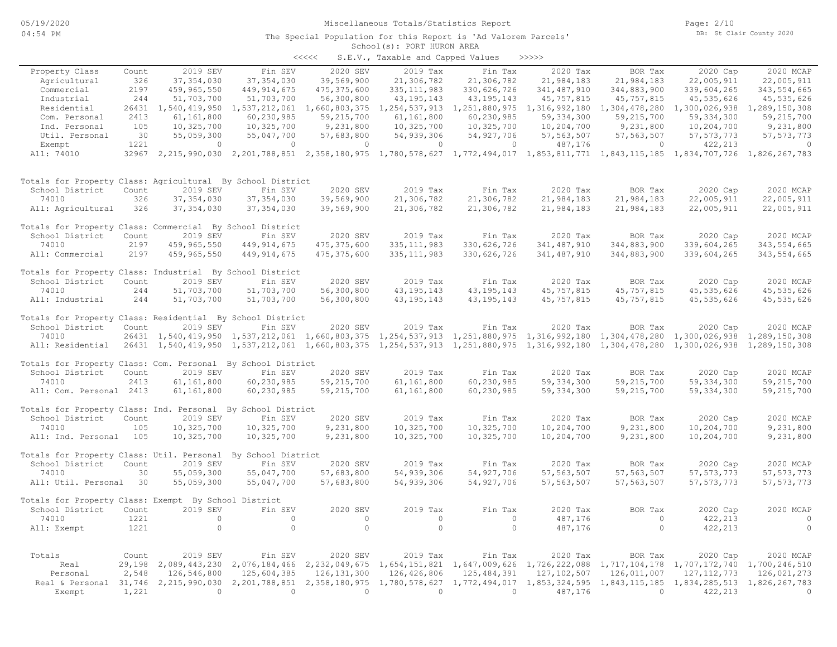### School(s): PORT HURON AREA The Special Population for this Report is 'Ad Valorem Parcels'

|       | SCHOOL (S). FORT HORON AREA       |       |
|-------|-----------------------------------|-------|
| くくくくく | S.E.V., Taxable and Capped Values | >>>>> |

|                                                                  |        |                     |                                                                                                                       |                  | $1000000$ and $00000$ $00000$ |                                                    |               |               |                                                                                                                                     |               |
|------------------------------------------------------------------|--------|---------------------|-----------------------------------------------------------------------------------------------------------------------|------------------|-------------------------------|----------------------------------------------------|---------------|---------------|-------------------------------------------------------------------------------------------------------------------------------------|---------------|
| Property Class                                                   | Count  | 2019 SEV            | Fin SEV                                                                                                               | 2020 SEV         | 2019 Tax                      | Fin Tax                                            | 2020 Tax      | BOR Tax       | 2020 Cap                                                                                                                            | 2020 MCAP     |
| Agricultural                                                     | 326    | 37, 354, 030        | 37, 354, 030                                                                                                          | 39,569,900       | 21,306,782                    | 21,306,782                                         | 21,984,183    | 21,984,183    | 22,005,911                                                                                                                          | 22,005,911    |
| Commercial                                                       | 2197   | 459,965,550         | 449, 914, 675                                                                                                         | 475, 375, 600    | 335, 111, 983                 | 330,626,726                                        | 341,487,910   | 344,883,900   | 339,604,265                                                                                                                         | 343, 554, 665 |
| Industrial                                                       | 244    | 51,703,700          | 51,703,700                                                                                                            | 56,300,800       | 43, 195, 143                  | 43, 195, 143                                       | 45,757,815    | 45, 757, 815  | 45, 535, 626                                                                                                                        | 45, 535, 626  |
| Residential                                                      |        | 26431 1,540,419,950 | 1,537,212,061                                                                                                         | 1,660,803,375    | 1,254,537,913                 | 1, 251, 880, 975 1, 316, 992, 180                  |               | 1,304,478,280 | 1,300,026,938                                                                                                                       | 1,289,150,308 |
| Com. Personal                                                    | 2413   | 61,161,800          | 60,230,985                                                                                                            | 59,215,700       | 61,161,800                    | 60,230,985                                         | 59, 334, 300  | 59, 215, 700  | 59, 334, 300                                                                                                                        | 59,215,700    |
| Ind. Personal                                                    | 105    | 10,325,700          | 10,325,700                                                                                                            | 9,231,800        | 10,325,700                    | 10,325,700                                         | 10,204,700    | 9,231,800     | 10,204,700                                                                                                                          | 9,231,800     |
| Util. Personal                                                   | 30     | 55,059,300          | 55,047,700                                                                                                            | 57,683,800       | 54,939,306                    | 54, 927, 706                                       | 57, 563, 507  | 57, 563, 507  | 57, 573, 773                                                                                                                        | 57, 573, 773  |
| Exempt                                                           | 1221   | $\circ$             | $\mathbf{0}$                                                                                                          | $\mathbf{0}$     | $\circ$                       | $\circ$                                            | 487,176       | 0             | 422,213                                                                                                                             | $\circ$       |
| All: 74010                                                       |        |                     |                                                                                                                       |                  |                               |                                                    |               |               | 32967 2,215,990,030 2,201,788,851 2,358,180,975 1,780,578,627 1,772,494,017 1,853,811,771 1,843,115,185 1,834,707,726 1,826,267,783 |               |
| Totals for Property Class: Agricultural By School District       |        |                     |                                                                                                                       |                  |                               |                                                    |               |               |                                                                                                                                     |               |
| School District                                                  | Count  | 2019 SEV            | Fin SEV                                                                                                               | 2020 SEV         | 2019 Tax                      | Fin Tax                                            | 2020 Tax      | BOR Tax       | 2020 Cap                                                                                                                            | 2020 MCAP     |
| 74010                                                            | 326    | 37, 354, 030        | 37, 354, 030                                                                                                          | 39,569,900       | 21,306,782                    | 21,306,782                                         | 21,984,183    | 21,984,183    | 22,005,911                                                                                                                          | 22,005,911    |
| All: Agricultural                                                | 326    | 37, 354, 030        | 37, 354, 030                                                                                                          | 39,569,900       | 21,306,782                    | 21,306,782                                         | 21,984,183    | 21,984,183    | 22,005,911                                                                                                                          | 22,005,911    |
| Totals for Property Class: Commercial By School District         |        |                     |                                                                                                                       |                  |                               |                                                    |               |               |                                                                                                                                     |               |
| School District                                                  | Count  | 2019 SEV            | Fin SEV                                                                                                               | 2020 SEV         | 2019 Tax                      | Fin Tax                                            | 2020 Tax      | BOR Tax       | 2020 Cap                                                                                                                            | 2020 MCAP     |
| 74010                                                            | 2197   | 459,965,550         | 449, 914, 675                                                                                                         | 475, 375, 600    | 335, 111, 983                 | 330,626,726                                        | 341, 487, 910 | 344,883,900   | 339,604,265                                                                                                                         | 343, 554, 665 |
| All: Commercial                                                  | 2197   | 459,965,550         | 449, 914, 675                                                                                                         | 475, 375, 600    | 335, 111, 983                 | 330,626,726                                        | 341, 487, 910 | 344,883,900   | 339,604,265                                                                                                                         | 343, 554, 665 |
| Totals for Property Class: Industrial By School District         |        |                     |                                                                                                                       |                  |                               |                                                    |               |               |                                                                                                                                     |               |
| School District                                                  | Count  | 2019 SEV            | Fin SEV                                                                                                               | 2020 SEV         | 2019 Tax                      | Fin Tax                                            | 2020 Tax      | BOR Tax       | 2020 Cap                                                                                                                            | 2020 MCAP     |
| 74010                                                            | 244    | 51,703,700          | 51,703,700                                                                                                            | 56,300,800       | 43, 195, 143                  | 43, 195, 143                                       | 45, 757, 815  | 45, 757, 815  | 45, 535, 626                                                                                                                        | 45, 535, 626  |
| All: Industrial                                                  | 244    | 51,703,700          | 51,703,700                                                                                                            | 56,300,800       | 43, 195, 143                  | 43, 195, 143                                       | 45, 757, 815  | 45, 757, 815  | 45, 535, 626                                                                                                                        | 45, 535, 626  |
| Totals for Property Class: Residential By School District        |        |                     |                                                                                                                       |                  |                               |                                                    |               |               |                                                                                                                                     |               |
| School District                                                  | Count  | 2019 SEV            | Fin SEV                                                                                                               | 2020 SEV         | 2019 Tax                      | Fin Tax                                            | 2020 Tax      | BOR Tax       | 2020 Cap                                                                                                                            | 2020 MCAP     |
| 74010                                                            |        |                     | 26431 1,540,419,950 1,537,212,061 1,660,803,375                                                                       |                  |                               | 1, 254, 537, 913 1, 251, 880, 975 1, 316, 992, 180 |               | 1,304,478,280 | 1,300,026,938                                                                                                                       | 1,289,150,308 |
| All: Residential                                                 |        |                     | 26431 1,540,419,950 1,537,212,061 1,660,803,375 1,254,537,913 1,251,880,975 1,316,992,180 1,304,478,280 1,300,026,938 |                  |                               |                                                    |               |               |                                                                                                                                     | 1,289,150,308 |
| Totals for Property Class: Com. Personal By School District      |        |                     |                                                                                                                       |                  |                               |                                                    |               |               |                                                                                                                                     |               |
| School District                                                  | Count  | 2019 SEV            | Fin SEV                                                                                                               | 2020 SEV         | 2019 Tax                      | Fin Tax                                            | 2020 Tax      | BOR Tax       | 2020 Cap                                                                                                                            | 2020 MCAP     |
| 74010                                                            | 2413   | 61,161,800          | 60,230,985                                                                                                            | 59, 215, 700     | 61,161,800                    | 60,230,985                                         | 59, 334, 300  | 59, 215, 700  | 59, 334, 300                                                                                                                        | 59,215,700    |
| All: Com. Personal 2413                                          |        | 61,161,800          | 60,230,985                                                                                                            | 59,215,700       | 61,161,800                    | 60,230,985                                         | 59, 334, 300  | 59,215,700    | 59, 334, 300                                                                                                                        | 59,215,700    |
| Totals for Property Class: Ind. Personal By School District      |        |                     |                                                                                                                       |                  |                               |                                                    |               |               |                                                                                                                                     |               |
| School District                                                  | Count  | 2019 SEV            | Fin SEV                                                                                                               | 2020 SEV         | 2019 Tax                      | Fin Tax                                            | 2020 Tax      | BOR Tax       | 2020 Cap                                                                                                                            | 2020 MCAP     |
| 74010                                                            | 105    | 10,325,700          | 10,325,700                                                                                                            | 9,231,800        | 10,325,700                    | 10,325,700                                         | 10,204,700    | 9,231,800     | 10,204,700                                                                                                                          | 9,231,800     |
| All: Ind. Personal                                               | 105    | 10,325,700          | 10,325,700                                                                                                            | 9,231,800        | 10,325,700                    | 10,325,700                                         | 10,204,700    | 9,231,800     | 10,204,700                                                                                                                          | 9,231,800     |
| Totals for Property Class: Util. Personal By School District     |        |                     |                                                                                                                       |                  |                               |                                                    |               |               |                                                                                                                                     |               |
| School District                                                  | Count  | 2019 SEV            | Fin SEV                                                                                                               | 2020 SEV         | 2019 Tax                      | Fin Tax                                            | 2020 Tax      | BOR Tax       | 2020 Cap                                                                                                                            | 2020 MCAP     |
| 74010                                                            | 30     | 55,059,300          | 55,047,700                                                                                                            | 57,683,800       | 54,939,306                    | 54, 927, 706                                       | 57, 563, 507  | 57, 563, 507  | 57, 573, 773                                                                                                                        | 57, 573, 773  |
| All: Util. Personal                                              | 30     | 55,059,300          | 55,047,700                                                                                                            | 57,683,800       | 54,939,306                    | 54, 927, 706                                       | 57, 563, 507  | 57, 563, 507  | 57, 573, 773                                                                                                                        | 57, 573, 773  |
| Totals for Property Class: Exempt By School District             |        |                     |                                                                                                                       |                  |                               |                                                    |               |               |                                                                                                                                     |               |
| School District                                                  | Count  | 2019 SEV            | Fin SEV                                                                                                               | 2020 SEV         | 2019 Tax                      | Fin Tax                                            | 2020 Tax      | BOR Tax       | 2020 Cap                                                                                                                            | 2020 MCAP     |
| 74010                                                            | 1221   | $\circ$             | $\circ$                                                                                                               | $\circ$          | $\circ$                       | $\circ$                                            | 487,176       | $\circ$       | 422,213                                                                                                                             | $\circ$       |
| All: Exempt                                                      | 1221   | $\circ$             | $\circ$                                                                                                               | $\overline{0}$   | $\circ$                       | $\circ$                                            | 487,176       | $\circ$       | 422,213                                                                                                                             | $\circ$       |
| Totals                                                           | Count  | 2019 SEV            | Fin SEV                                                                                                               | 2020 SEV         | 2019 Tax                      | Fin Tax                                            | 2020 Tax      | BOR Tax       | 2020 Cap                                                                                                                            | 2020 MCAP     |
| Real                                                             | 29,198 | 2,089,443,230       | 2,076,184,466                                                                                                         | 2, 232, 049, 675 |                               | 1,654,151,821 1,647,009,626                        | 1,726,222,088 | 1,717,104,178 | 1,707,172,740                                                                                                                       | 1,700,246,510 |
| Personal                                                         | 2,548  | 126,546,800         | 125,604,385                                                                                                           | 126, 131, 300    | 126,426,806                   | 125, 484, 391                                      | 127, 102, 507 | 126,011,007   | 127, 112, 773                                                                                                                       | 126,021,273   |
| Real & Personal 31,746 2,215,990,030 2,201,788,851 2,358,180,975 |        |                     |                                                                                                                       |                  |                               | 1,780,578,627 1,772,494,017                        | 1,853,324,595 | 1,843,115,185 | 1,834,285,513                                                                                                                       | 1,826,267,783 |
| Exempt                                                           | 1,221  | $\Omega$            | $\Omega$                                                                                                              | $\Omega$         | $\overline{0}$                | $\Omega$                                           | 487,176       | $\circ$       | 422,213                                                                                                                             | $\circ$       |
|                                                                  |        |                     |                                                                                                                       |                  |                               |                                                    |               |               |                                                                                                                                     |               |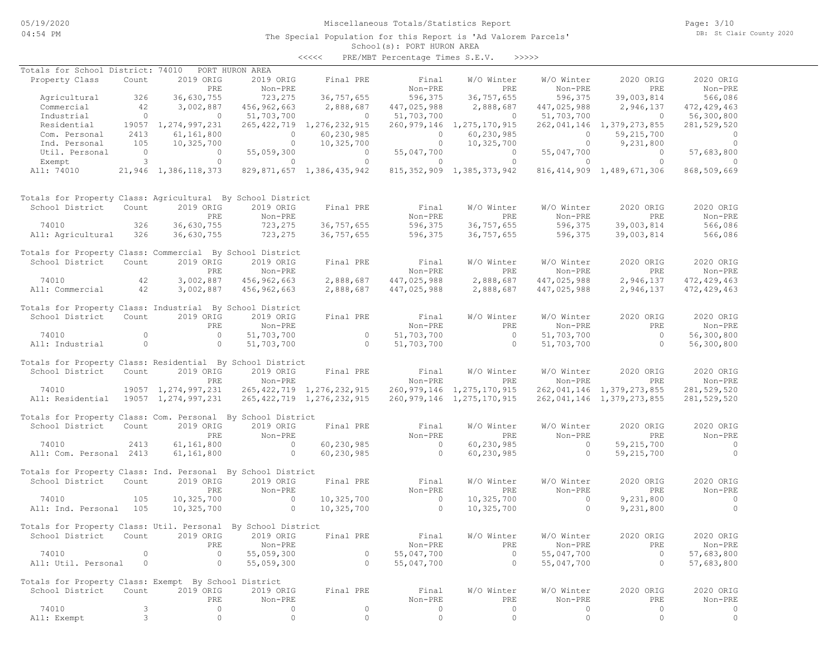# Miscellaneous Totals/Statistics Report

Page: 3/10 DB: St Clair County 2020

### School(s): PORT HURON AREA The Special Population for this Report is 'Ad Valorem Parcels'

<<<<< PRE/MBT Percentage Times S.E.V. >>>>>

| Totals for School District: 74010                            |                |                        | PORT HURON AREA |                                |               |                                |             |                                |                |
|--------------------------------------------------------------|----------------|------------------------|-----------------|--------------------------------|---------------|--------------------------------|-------------|--------------------------------|----------------|
| Property Class                                               | Count          | 2019 ORIG              | 2019 ORIG       | Final PRE                      | Final         | W/O Winter                     | W/O Winter  | 2020 ORIG                      | 2020 ORIG      |
|                                                              |                | PRE                    | Non-PRE         |                                | Non-PRE       | PRE                            | Non-PRE     | PRE                            | Non-PRE        |
| Agricultural                                                 | 326            | 36,630,755             | 723,275         | 36,757,655                     | 596,375       | 36,757,655                     | 596,375     | 39,003,814                     | 566,086        |
| Commercial                                                   | 42             | 3,002,887              | 456,962,663     | 2,888,687                      | 447,025,988   | 2,888,687                      | 447,025,988 | 2,946,137                      | 472, 429, 463  |
| Industrial                                                   | $\circ$        | $\circ$                | 51,703,700      | $\circ$                        | 51,703,700    | $\overline{0}$                 | 51,703,700  | $\overline{0}$                 | 56,300,800     |
| Residential                                                  |                | 19057 1, 274, 997, 231 |                 | 265, 422, 719 1, 276, 232, 915 | 260, 979, 146 | 1,275,170,915                  |             | 262, 041, 146 1, 379, 273, 855 | 281,529,520    |
| Com. Personal                                                | 2413           | 61,161,800             | $\circ$         | 60,230,985                     | $\circ$       | 60,230,985                     | 0           | 59,215,700                     | $\circ$        |
| Ind. Personal                                                | 105            | 10,325,700             | $\circ$         | 10,325,700                     | $\circ$       | 10,325,700                     | $\circ$     | 9,231,800                      | $\Omega$       |
| Util. Personal                                               | $\overline{0}$ | $\circ$                | 55,059,300      | $\circ$                        | 55,047,700    | $\circ$                        | 55,047,700  | $\overline{0}$                 | 57,683,800     |
| Exempt                                                       | 3              | $\circ$                | $\circ$         | $\circ$                        | $\circ$       | $\circ$                        | $\circ$     | $\Omega$                       | $\Omega$       |
| All: 74010                                                   |                | 21,946 1,386,118,373   |                 | 829,871,657 1,386,435,942      |               | 815, 352, 909 1, 385, 373, 942 |             | 816, 414, 909 1, 489, 671, 306 | 868,509,669    |
| Totals for Property Class: Agricultural By School District   |                |                        |                 |                                |               |                                |             |                                |                |
| School District                                              | Count          | 2019 ORIG              | 2019 ORIG       | Final PRE                      | Final         | W/O Winter                     | W/O Winter  | 2020 ORIG                      | 2020 ORIG      |
|                                                              |                | PRE                    | Non-PRE         |                                | Non-PRE       | PRE                            | Non-PRE     | PRE                            | Non-PRE        |
| 74010                                                        | 326            | 36,630,755             | 723,275         | 36,757,655                     | 596,375       | 36,757,655                     | 596,375     | 39,003,814                     | 566,086        |
| All: Agricultural                                            | 326            | 36,630,755             | 723,275         | 36,757,655                     | 596,375       | 36,757,655                     | 596,375     | 39,003,814                     | 566,086        |
| Totals for Property Class: Commercial By School District     |                |                        |                 |                                |               |                                |             |                                |                |
| School District                                              | Count          | 2019 ORIG              | 2019 ORIG       | Final PRE                      | Final         | W/O Winter                     | W/O Winter  | 2020 ORIG                      | 2020 ORIG      |
|                                                              |                | PRE                    | Non-PRE         |                                | Non-PRE       | PRE                            | Non-PRE     | PRE                            | Non-PRE        |
| 74010                                                        | 42             | 3,002,887              | 456,962,663     | 2,888,687                      | 447,025,988   | 2,888,687                      | 447,025,988 | 2,946,137                      | 472, 429, 463  |
| All: Commercial                                              | 42             | 3,002,887              | 456,962,663     | 2,888,687                      | 447,025,988   | 2,888,687                      | 447,025,988 | 2,946,137                      | 472, 429, 463  |
| Totals for Property Class: Industrial By School District     |                |                        |                 |                                |               |                                |             |                                |                |
| School District                                              | Count          | 2019 ORIG              | 2019 ORIG       | Final PRE                      | Final         | W/O Winter                     | W/O Winter  | 2020 ORIG                      | 2020 ORIG      |
|                                                              |                | PRE                    | Non-PRE         |                                | Non-PRE       | PRE                            | Non-PRE     | PRE                            | Non-PRE        |
| 74010                                                        | $\circ$        | $\circ$                | 51,703,700      | $\circ$                        | 51,703,700    | $\overline{0}$                 | 51,703,700  | $\overline{0}$                 | 56,300,800     |
| All: Industrial                                              | $\circ$        | $\circ$                | 51,703,700      | $\circ$                        | 51,703,700    | $\overline{0}$                 | 51,703,700  | $\circ$                        | 56,300,800     |
|                                                              |                |                        |                 |                                |               |                                |             |                                |                |
| Totals for Property Class: Residential By School District    |                |                        |                 |                                |               |                                |             |                                |                |
| School District                                              | Count          | 2019 ORIG              | 2019 ORIG       | Final PRE                      | Final         | W/O Winter                     | W/O Winter  | 2020 ORIG                      | 2020 ORIG      |
|                                                              |                | PRE                    | Non-PRE         |                                | Non-PRE       | <b>PRE</b>                     | Non-PRE     | PRE                            | Non-PRE        |
| 74010                                                        |                | 19057 1,274,997,231    |                 | 265, 422, 719 1, 276, 232, 915 |               | 260, 979, 146 1, 275, 170, 915 |             | 262,041,146 1,379,273,855      | 281,529,520    |
| All: Residential                                             |                | 19057 1,274,997,231    |                 | 265, 422, 719 1, 276, 232, 915 |               | 260, 979, 146 1, 275, 170, 915 |             | 262,041,146 1,379,273,855      | 281,529,520    |
|                                                              |                |                        |                 |                                |               |                                |             |                                |                |
| Totals for Property Class: Com. Personal By School District  |                |                        |                 |                                |               |                                |             |                                |                |
| School District                                              | Count          | 2019 ORIG              | 2019 ORIG       | Final PRE                      | Final         | W/O Winter                     | W/O Winter  | 2020 ORIG                      | 2020 ORIG      |
|                                                              |                | PRE                    | Non-PRE         |                                | Non-PRE       | PRE                            | Non-PRE     | PRE                            | Non-PRE        |
| 74010                                                        | 2413           | 61,161,800             | $\circ$         | 60,230,985                     | $\circ$       | 60,230,985                     | $\circ$     | 59, 215, 700                   | $\overline{0}$ |
| All: Com. Personal 2413                                      |                | 61,161,800             | $\circ$         | 60, 230, 985                   | $\bigcirc$    | 60,230,985                     | $\circ$     | 59,215,700                     | $\circ$        |
| Totals for Property Class: Ind. Personal By School District  |                |                        |                 |                                |               |                                |             |                                |                |
| School District                                              | Count          | 2019 ORIG              | 2019 ORIG       | Final PRE                      | Final         | W/O Winter                     | W/O Winter  | 2020 ORIG                      | 2020 ORIG      |
|                                                              |                | PRE                    | Non-PRE         |                                | Non-PRE       | PRE                            | Non-PRE     | PRE                            | Non-PRE        |
| 74010                                                        | 105            | 10,325,700             | $\circ$         | 10,325,700                     | $\circ$       | 10,325,700                     | $\circ$     | 9,231,800                      | $\circ$        |
| All: Ind. Personal                                           | 105            | 10,325,700             | $\circ$         | 10,325,700                     | $\circ$       | 10,325,700                     | $\circ$     | 9,231,800                      | $\circ$        |
|                                                              |                |                        |                 |                                |               |                                |             |                                |                |
| Totals for Property Class: Util. Personal By School District |                |                        |                 |                                |               |                                |             |                                |                |
| School District Count 2019 ORIG 2019 ORIG                    |                |                        |                 | Final PRE                      | Final         | W/O Winter                     | W/O Winter  | 2020 ORIG                      | 2020 ORIG      |
|                                                              |                | PRE                    | Non-PRE         |                                | Non-PRE       | PRE                            | Non-PRE     | PRE                            | Non-PRE        |
| 74010                                                        | 0              | $\circ$                | 55,059,300      | $\circ$                        | 55,047,700    | $\circ$                        | 55,047,700  | $\circ$                        | 57,683,800     |
| All: Util. Personal                                          | 0              | $\circ$                | 55,059,300      | $\circ$                        | 55,047,700    | $\circ$                        | 55,047,700  | $\circ$                        | 57,683,800     |
|                                                              |                |                        |                 |                                |               |                                |             |                                |                |
| Totals for Property Class: Exempt By School District         |                |                        |                 |                                |               |                                |             |                                |                |
| School District                                              | Count          | 2019 ORIG              | 2019 ORIG       | Final PRE                      | Final         | W/O Winter                     | W/O Winter  | 2020 ORIG                      | 2020 ORIG      |
|                                                              |                | PRE                    | Non-PRE         |                                | Non-PRE       | PRE                            | Non-PRE     | PRE                            | Non-PRE        |
| 74010                                                        | 3              | $\circ$                | 0               | $\circ$                        | $\circ$       | $\circ$                        | $\circ$     | $\circ$                        | $\circ$        |
| All: Exempt                                                  | 3              | $\mathbb O$            | $\circ$         | $\mathbb O$                    | $\mathbb O$   | $\circ$                        | $\mathbb O$ | $\mathbb O$                    | $\circ$        |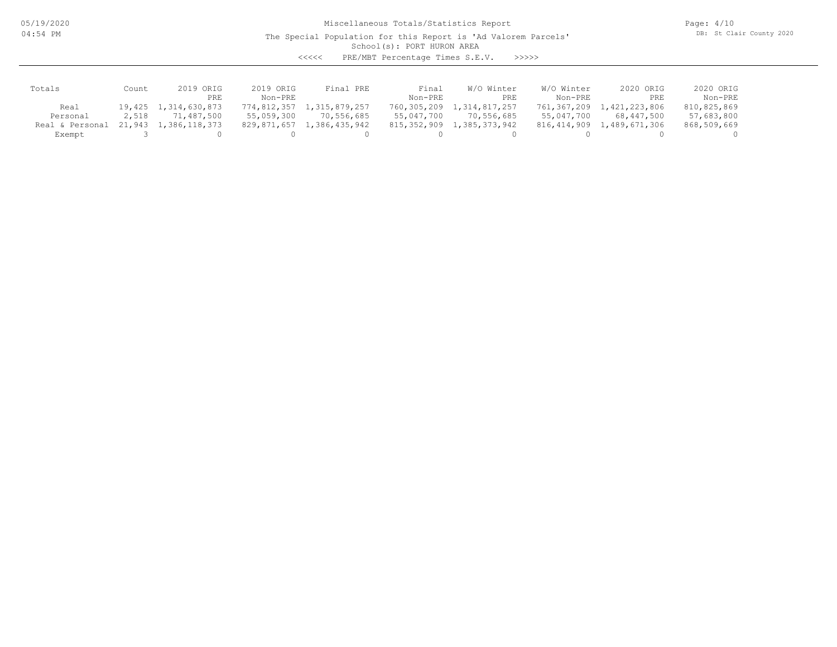05/19/2020 04:54 PM

Miscellaneous Totals/Statistics Report

Page: 4/10 DB: St Clair County 2020

### School(s): PORT HURON AREA The Special Population for this Report is 'Ad Valorem Parcels'

<<<<< PRE/MBT Percentage Times S.E.V. >>>>>

| Totals          | Count  | 2019 ORIG            | 2019 ORIG   | Final PRE     | Final       | W/O Winter    | W/O Winter    | 2020 ORIG     | 2020 ORIG   |
|-----------------|--------|----------------------|-------------|---------------|-------------|---------------|---------------|---------------|-------------|
|                 |        | PRE                  | Non-PRE     |               | Non-PRE     | PRE           | Non-PRE       | PRE           | Non-PRE     |
| Real            |        | 19,425 1,314,630,873 | 774,812,357 | 1,315,879,257 | 760,305,209 | 1,314,817,257 | 761,367,209   | 1,421,223,806 | 810,825,869 |
| Personal        | 2,518  | 71,487,500           | 55,059,300  | 70,556,685    | 55,047,700  | 70,556,685    | 55,047,700    | 68,447,500    | 57,683,800  |
| Real & Personal | 21,943 | 1,386,118,373        | 829,871,657 | 1,386,435,942 | 815,352,909 | 1,385,373,942 | 816, 414, 909 | 1,489,671,306 | 868,509,669 |
| Exempt          |        |                      |             |               |             |               |               |               |             |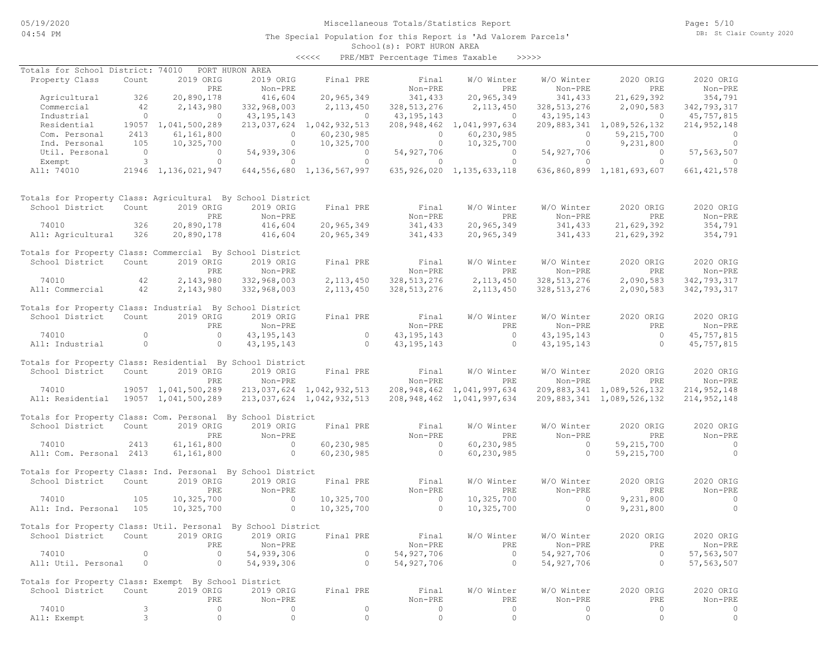# Miscellaneous Totals/Statistics Report

Page: 5/10 DB: St Clair County 2020

### School(s): PORT HURON AREA The Special Population for this Report is 'Ad Valorem Parcels'

<<<<< PRE/MBT Percentage Times Taxable >>>>>

| Totals for School District: 74010                            |                                       |                     | PORT HURON AREA |                                               |                |                                |                       |                                                     |               |
|--------------------------------------------------------------|---------------------------------------|---------------------|-----------------|-----------------------------------------------|----------------|--------------------------------|-----------------------|-----------------------------------------------------|---------------|
| Property Class                                               | Count                                 | 2019 ORIG           | 2019 ORIG       | Final PRE                                     | Final          | W/O Winter                     | W/O Winter            | 2020 ORIG                                           | 2020 ORIG     |
|                                                              |                                       | PRE                 | Non-PRE         |                                               | Non-PRE        | PRE                            | Non-PRE               | PRE                                                 | Non-PRE       |
| Agricultural                                                 | 326                                   | 20,890,178          | 416,604         | 20,965,349                                    | 341,433        | 20,965,349                     | 341,433               | 21,629,392                                          | 354,791       |
| Commercial                                                   | 42                                    | 2,143,980           | 332,968,003     | 2,113,450                                     | 328, 513, 276  | 2, 113, 450                    | 328, 513, 276         | 2,090,583                                           | 342,793,317   |
| Industrial                                                   | $\overline{0}$                        | $\overline{0}$      | 43,195,143      | $\overline{0}$                                | 43, 195, 143   | $\overline{0}$                 | 43,195,143            | $\overline{0}$                                      | 45,757,815    |
| Residential                                                  |                                       | 19057 1,041,500,289 |                 | 213,037,624 1,042,932,513                     |                | 208,948,462 1,041,997,634      |                       | 209, 883, 341 1, 089, 526, 132                      | 214,952,148   |
| Com. Personal                                                | 2413                                  | 61,161,800          | $\circ$         | 60,230,985                                    | $\overline{0}$ | 60,230,985                     | $\circ$               | 59,215,700                                          | $\circ$       |
| Ind. Personal                                                | 105                                   | 10,325,700          | $\circ$         | 10,325,700                                    | $\overline{0}$ | 10,325,700                     | $\circ$               | 9,231,800                                           | $\circ$       |
| Util. Personal                                               |                                       | $\overline{0}$      | 54,939,306      | $\overline{0}$                                | 54,927,706     | $\sim$ 0 $\sim$ 0              | 54,927,706            | $\overline{0}$                                      | 57, 563, 507  |
| Exempt                                                       | $\begin{array}{c} 0 \\ 3 \end{array}$ | $\circ$             | $\circ$         | $\Omega$                                      | $\circ$        | $\overline{0}$                 | $\circ$               | $\overline{0}$                                      | $\Omega$      |
| All: 74010                                                   |                                       |                     |                 | 21946 1,136,021,947 644,556,680 1,136,567,997 |                |                                |                       | 635,926,020 1,135,633,118 636,860,899 1,181,693,607 | 661, 421, 578 |
|                                                              |                                       |                     |                 |                                               |                |                                |                       |                                                     |               |
| Totals for Property Class: Agricultural By School District   |                                       |                     |                 |                                               |                |                                |                       |                                                     |               |
| School District                                              | Count                                 | 2019 ORIG           | 2019 ORIG       | Final PRE                                     | Final          | W/O Winter                     | W/O Winter            | 2020 ORIG                                           | 2020 ORIG     |
|                                                              |                                       | PRE                 | Non-PRE         |                                               | Non-PRE        | PRE                            | Non-PRE               | PRE                                                 | Non-PRE       |
| 74010                                                        | 326                                   | 20,890,178          | 416,604         | 20,965,349                                    | 341,433        | 20,965,349                     | 341,433               | 21,629,392                                          | 354,791       |
| All: Agricultural                                            | 326                                   | 20,890,178          | 416,604         | 20,965,349                                    | 341,433        | 20,965,349                     | 341,433               | 21,629,392                                          | 354,791       |
| Totals for Property Class: Commercial By School District     |                                       |                     |                 |                                               |                |                                |                       |                                                     |               |
| School District                                              | Count                                 | 2019 ORIG           | 2019 ORIG       | Final PRE                                     | Final          | W/O Winter                     | W/O Winter            | 2020 ORIG                                           | 2020 ORIG     |
|                                                              |                                       | PRE                 | Non-PRE         |                                               | Non-PRE        | PRE                            | Non-PRE               | PRE                                                 | Non-PRE       |
| 74010                                                        | 42                                    | 2,143,980           | 332,968,003     | 2,113,450                                     | 328, 513, 276  | 2, 113, 450                    | 328, 513, 276         | 2,090,583                                           | 342,793,317   |
| All: Commercial                                              | 42                                    | 2,143,980           | 332,968,003     | 2,113,450                                     | 328, 513, 276  | 2, 113, 450                    | 328, 513, 276         | 2,090,583                                           | 342,793,317   |
|                                                              |                                       |                     |                 |                                               |                |                                |                       |                                                     |               |
| Totals for Property Class: Industrial By School District     |                                       |                     |                 |                                               |                |                                |                       |                                                     |               |
| School District                                              | Count                                 | 2019 ORIG           | 2019 ORIG       | Final PRE                                     | Final          | W/O Winter                     | W/O Winter            | 2020 ORIG                                           | 2020 ORIG     |
|                                                              |                                       | PRE                 | Non-PRE         |                                               | Non-PRE        | PRE                            | Non-PRE               | PRE                                                 | Non-PRE       |
| 74010                                                        | $\circ$                               | $\overline{0}$      | 43, 195, 143    | $\overline{0}$                                | 43,195,143     | $\sim$ 0                       | 43, 195, 143          | $\overline{0}$                                      | 45,757,815    |
| All: Industrial                                              | $\circ$                               | $\overline{0}$      | 43, 195, 143    | $\sim$ 0                                      | 43,195,143     | $\sim$ 0 $\sim$ 0              | 43, 195, 143          | $\sim$ 0                                            | 45,757,815    |
|                                                              |                                       |                     |                 |                                               |                |                                |                       |                                                     |               |
| Totals for Property Class: Residential By School District    |                                       |                     |                 |                                               |                |                                |                       |                                                     |               |
| School District                                              | Count                                 | 2019 ORIG           | 2019 ORIG       | Final PRE                                     | Final          | W/O Winter                     | W/O Winter            | 2020 ORIG                                           | 2020 ORIG     |
|                                                              |                                       | PRE                 | Non-PRE         |                                               | Non-PRE        | PRE                            | Non-PRE               | PRE                                                 | Non-PRE       |
| 74010                                                        |                                       | 19057 1,041,500,289 |                 | 213,037,624 1,042,932,513                     |                | 208, 948, 462 1, 041, 997, 634 |                       | 209,883,341 1,089,526,132                           | 214, 952, 148 |
| All: Residential 19057 1,041,500,289                         |                                       |                     |                 | 213,037,624 1,042,932,513                     |                | 208,948,462 1,041,997,634      |                       | 209,883,341 1,089,526,132                           | 214,952,148   |
|                                                              |                                       |                     |                 |                                               |                |                                |                       |                                                     |               |
| Totals for Property Class: Com. Personal By School District  |                                       |                     |                 |                                               |                |                                |                       |                                                     |               |
| School District                                              | Count                                 | 2019 ORIG           | 2019 ORIG       | Final PRE                                     | Final          | W/O Winter                     | W/O Winter            | 2020 ORIG                                           | 2020 ORIG     |
|                                                              |                                       | PRE                 | Non-PRE         |                                               | Non-PRE        | PRE                            | Non-PRE               | PRE                                                 | Non-PRE       |
| 74010                                                        | 2413                                  | 61,161,800          | $\sim$ 0        | 60,230,985                                    | $\sim$ 0       | 60,230,985                     | $\sim$ 0              | 59, 215, 700                                        | $\sim$ 0      |
| All: Com. Personal 2413                                      |                                       | 61, 161, 800        | $\circ$         | 60, 230, 985                                  | $\bigcirc$     | 60, 230, 985                   | $\circ$               | 59, 215, 700                                        | $\Omega$      |
| Totals for Property Class: Ind. Personal By School District  |                                       |                     |                 |                                               |                |                                |                       |                                                     |               |
| School District                                              | Count                                 | 2019 ORIG           | 2019 ORIG       | Final PRE                                     | Final          | W/O Winter                     | W/O Winter            | 2020 ORIG                                           | 2020 ORIG     |
|                                                              |                                       |                     |                 |                                               | Non-PRE        |                                | Non-PRE               |                                                     | Non-PRE       |
|                                                              |                                       | PRE                 | Non-PRE         |                                               |                | PRE                            |                       | PRE                                                 |               |
| 74010                                                        | 105                                   | 10,325,700          | $\sim$ 0        | 10,325,700                                    | $\sim$ 0       | 10,325,700                     | $\sim$ 0              | 9,231,800                                           | $\sim$ 0      |
| All: Ind. Personal 105                                       |                                       | 10,325,700          | $\overline{0}$  | 10,325,700                                    | $\overline{0}$ | 10,325,700                     | $\overline{0}$        | 9,231,800                                           | $\circ$       |
| Totals for Property Class: Util. Personal By School District |                                       |                     |                 |                                               |                |                                |                       |                                                     |               |
| School District Count 2019 ORIG 2019 ORIG                    |                                       |                     |                 | Final PRE                                     |                | W/O Winter                     |                       |                                                     | 2020 ORIG     |
|                                                              |                                       | PRE                 | Non-PRE         |                                               | Final          | PRE                            | W/O Winter<br>Non-PRE | 2020 ORIG<br>PRE                                    |               |
|                                                              |                                       |                     |                 |                                               | Non-PRE        |                                |                       |                                                     | Non-PRE       |
| 74010                                                        | $\mathbf 0$                           | $\circ$             | 54,939,306      | 0                                             | 54, 927, 706   | $\circ$                        | 54, 927, 706          | $\circ$                                             | 57, 563, 507  |
| All: Util. Personal                                          | 0                                     | $\circ$             | 54,939,306      | $\circ$                                       | 54, 927, 706   | $\circ$                        | 54, 927, 706          | $\circ$                                             | 57, 563, 507  |
| Totals for Property Class: Exempt By School District         |                                       |                     |                 |                                               |                |                                |                       |                                                     |               |
| School District                                              | Count                                 | 2019 ORIG           | 2019 ORIG       | Final PRE                                     | Final          | W/O Winter                     | W/O Winter            | 2020 ORIG                                           | 2020 ORIG     |
|                                                              |                                       | PRE                 | Non-PRE         |                                               | Non-PRE        | PRE                            | Non-PRE               | PRE                                                 | Non-PRE       |
| 74010                                                        | 3                                     | $\circ$             | $\circ$         | $\circ$                                       | $\circ$        | $\circ$                        | 0                     | $\circ$                                             | $\circ$       |
| All: Exempt                                                  | $\mathfrak{Z}$                        | $\circ$             | $\circ$         | $\circ$                                       | $\mathbb O$    | $\circ$                        | $\circ$               | $\circ$                                             | $\circ$       |
|                                                              |                                       |                     |                 |                                               |                |                                |                       |                                                     |               |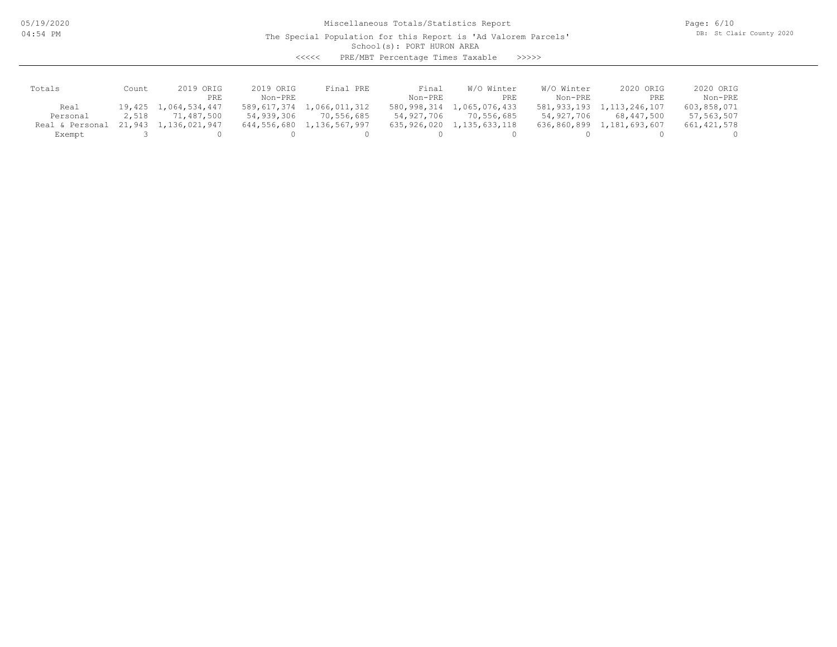05/19/2020 04:54 PM

Miscellaneous Totals/Statistics Report

Page: 6/10 DB: St Clair County 2020

## School(s): PORT HURON AREA The Special Population for this Report is 'Ad Valorem Parcels'

<<<<< PRE/MBT Percentage Times Taxable >>>>>

| Totals          | Count    | ORIG<br>2019  | 2019 ORIG   | Final PRE     | Final       | W/O Winter       | W/O Winter  | 2020 ORIG        | 2020 ORIG   |
|-----------------|----------|---------------|-------------|---------------|-------------|------------------|-------------|------------------|-------------|
|                 |          | PRE           | $Non-PRF$   |               | Non-PRE     | PRE              | Non-PRE     | PRE              | Non-PRE     |
| Real            | 19,425 1 | 1,064,534,447 | 589,617,374 | 1,066,011,312 | 580,998,314 | 1,065,076,433    | 581,933,193 | 1, 113, 246, 107 | 603,858,071 |
| Personal        | 2,518    | 71,487,500    | 54,939,306  | 70,556,685    | 54,927,706  | 70,556,685       | 54,927,706  | 68,447,500       | 57,563,507  |
| Real & Personal | 21,943   | 1,136,021,947 | 644,556,680 | 1,136,567,997 | 635,926,020 | 1, 135, 633, 118 | 636,860,899 | 1,181,693,607    | 661,421,578 |
| Exempt          |          |               |             |               |             |                  |             |                  |             |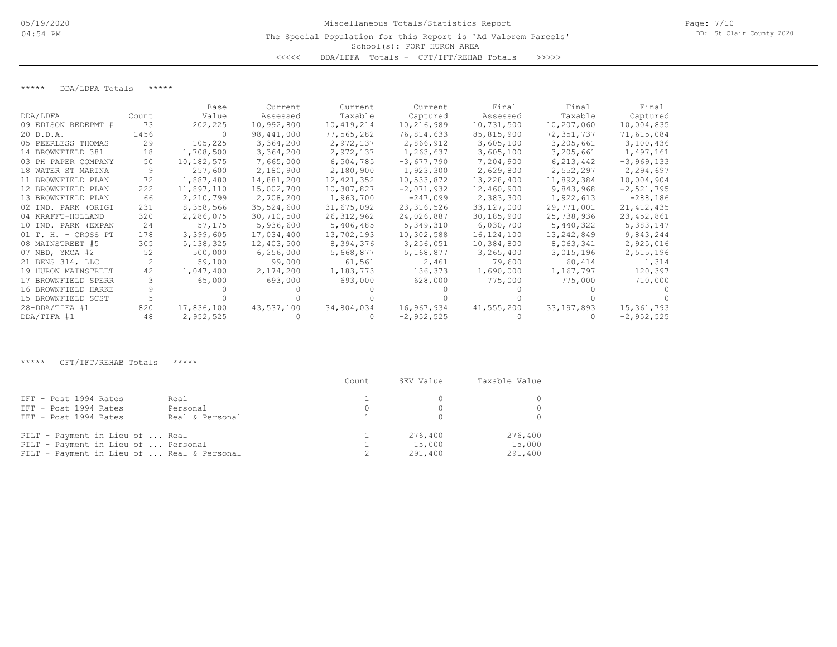## School(s): PORT HURON AREA Miscellaneous Totals/Statistics Report The Special Population for this Report is 'Ad Valorem Parcels' <<<<< DDA/LDFA Totals - CFT/IFT/REHAB Totals >>>>>

\*\*\*\*\* DDA/LDFA Totals \*\*\*\*\*

|                       |       | Base       | Current    | Current      | Current      | Final      | Final      | Final        |
|-----------------------|-------|------------|------------|--------------|--------------|------------|------------|--------------|
| DDA/LDFA              | Count | Value      | Assessed   | Taxable      | Captured     | Assessed   | Taxable    | Captured     |
| 09 EDISON REDEPMT #   | 73    | 202,225    | 10,992,800 | 10,419,214   | 10,216,989   | 10,731,500 | 10,207,060 | 10,004,835   |
| 20 D.D.A.             | 1456  |            | 98,441,000 | 77,565,282   | 76,814,633   | 85,815,900 | 72,351,737 | 71,615,084   |
| 05 PEERLESS THOMAS    | 29    | 105,225    | 3,364,200  | 2,972,137    | 2,866,912    | 3,605,100  | 3,205,661  | 3,100,436    |
| 14 BROWNFIELD 381     | 18    | 1,708,500  | 3,364,200  | 2,972,137    | 1,263,637    | 3,605,100  | 3,205,661  | 1,497,161    |
| 03 PH PAPER COMPANY   | 50    | 10,182,575 | 7,665,000  | 6,504,785    | $-3,677,790$ | 7,204,900  | 6,213,442  | $-3,969,133$ |
| 18 WATER ST MARINA    |       | 257,600    | 2,180,900  | 2,180,900    | 1,923,300    | 2,629,800  | 2,552,297  | 2,294,697    |
| 11 BROWNFIELD PLAN    | 72    | 1,887,480  | 14,881,200 | 12, 421, 352 | 10,533,872   | 13,228,400 | 11,892,384 | 10,004,904   |
| 12 BROWNFIELD PLAN    | 222   | 11,897,110 | 15,002,700 | 10,307,827   | $-2,071,932$ | 12,460,900 | 9,843,968  | $-2,521,795$ |
| 13 BROWNFIELD PLAN    | 66    | 2,210,799  | 2,708,200  | 1,963,700    | $-247,099$   | 2,383,300  | 1,922,613  | $-288,186$   |
| 02 IND. PARK (ORIGI   | 231   | 8,358,566  | 35,524,600 | 31,675,092   | 23, 316, 526 | 33,127,000 | 29,771,001 | 21, 412, 435 |
| 04 KRAFFT-HOLLAND     | 320   | 2,286,075  | 30,710,500 | 26, 312, 962 | 24,026,887   | 30,185,900 | 25,738,936 | 23, 452, 861 |
| 10 IND. PARK (EXPAN   | 24    | 57,175     | 5,936,600  | 5,406,485    | 5,349,310    | 6,030,700  | 5,440,322  | 5,383,147    |
| $01$ T. H. - CROSS PT | 178   | 3,399,605  | 17,034,400 | 13,702,193   | 10,302,588   | 16,124,100 | 13,242,849 | 9,843,244    |
| 08 MAINSTREET #5      | 305   | 5,138,325  | 12,403,500 | 8,394,376    | 3,256,051    | 10,384,800 | 8,063,341  | 2,925,016    |
| 07 NBD, YMCA #2       | 52    | 500,000    | 6,256,000  | 5,668,877    | 5,168,877    | 3,265,400  | 3,015,196  | 2,515,196    |
| 21 BENS 314, LLC      |       | 59,100     | 99,000     | 61,561       | 2,461        | 79,600     | 60,414     | 1,314        |
| 19 HURON MAINSTREET   | 42    | 1,047,400  | 2,174,200  | 1,183,773    | 136,373      | 1,690,000  | 1,167,797  | 120,397      |
| 17 BROWNFIELD SPERR   |       | 65,000     | 693,000    | 693,000      | 628,000      | 775,000    | 775,000    | 710,000      |
| 16 BROWNFIELD HARKE   |       |            |            |              |              |            |            |              |
| 15 BROWNFIELD SCST    |       |            |            |              |              |            |            |              |
| $28 - DDA/TIFA$ #1    | 820   | 17,836,100 | 43,537,100 | 34,804,034   | 16,967,934   | 41,555,200 | 33,197,893 | 15,361,793   |
| DDA/TIFA #1           | 48    | 2,952,525  |            |              | $-2,952,525$ |            |            | $-2,952,525$ |

\*\*\*\*\* CFT/IFT/REHAB Totals \*\*\*\*\*

|                                                                                                                      | Count | SEV Value                    | Taxable Value                |
|----------------------------------------------------------------------------------------------------------------------|-------|------------------------------|------------------------------|
| IFT - Post 1994 Rates<br>Real<br>IFT - Post 1994 Rates<br>Personal<br>IFT - Post 1994 Rates<br>Real & Personal       |       |                              | $\Omega$<br>$\Omega$         |
| PILT - Payment in Lieu of  Real<br>PILT - Payment in Lieu of  Personal<br>PILT - Payment in Lieu of  Real & Personal |       | 276,400<br>15,000<br>291,400 | 276,400<br>15,000<br>291,400 |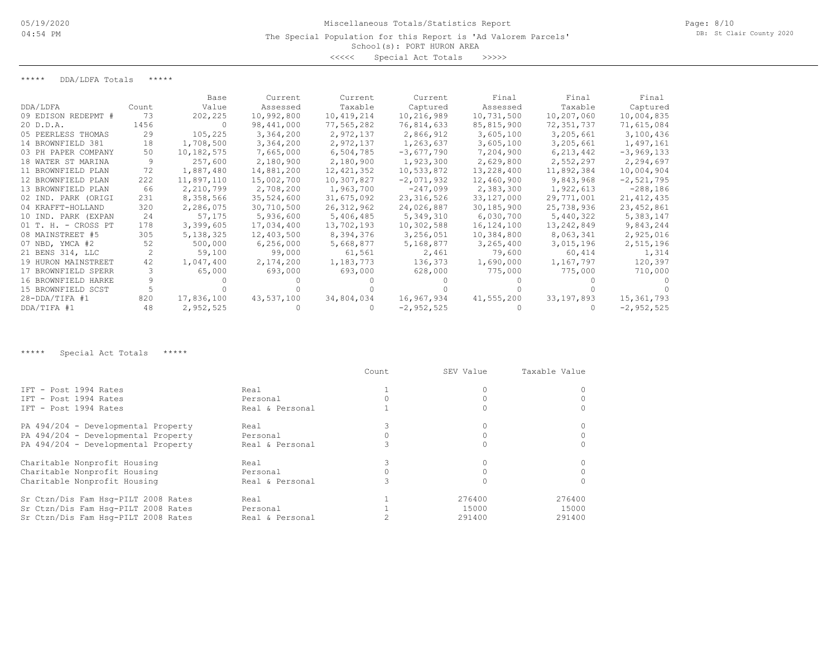<<<<< Special Act Totals >>>>>

\*\*\*\*\* DDA/LDFA Totals \*\*\*\*\*

|                     |       | Base       | Current    | Current      | Current      | Final        | Final       | Final        |
|---------------------|-------|------------|------------|--------------|--------------|--------------|-------------|--------------|
| DDA/LDFA            | Count | Value      | Assessed   | Taxable      | Captured     | Assessed     | Taxable     | Captured     |
| 09 EDISON REDEPMT # | 73    | 202,225    | 10,992,800 | 10,419,214   | 10,216,989   | 10,731,500   | 10,207,060  | 10,004,835   |
| 20 D.D.A.           | 1456  |            | 98,441,000 | 77,565,282   | 76,814,633   | 85,815,900   | 72,351,737  | 71,615,084   |
| 05 PEERLESS THOMAS  | 29    | 105,225    | 3,364,200  | 2,972,137    | 2,866,912    | 3,605,100    | 3,205,661   | 3,100,436    |
| 14 BROWNFIELD 381   | 18    | 1,708,500  | 3,364,200  | 2,972,137    | 1,263,637    | 3,605,100    | 3,205,661   | 1,497,161    |
| 03 PH PAPER COMPANY | 50    | 10,182,575 | 7,665,000  | 6,504,785    | $-3,677,790$ | 7,204,900    | 6, 213, 442 | $-3,969,133$ |
| 18 WATER ST MARINA  |       | 257,600    | 2,180,900  | 2,180,900    | 1,923,300    | 2,629,800    | 2,552,297   | 2,294,697    |
| 11 BROWNFIELD PLAN  | 72    | 1,887,480  | 14,881,200 | 12,421,352   | 10,533,872   | 13,228,400   | 11,892,384  | 10,004,904   |
| 12 BROWNFIELD PLAN  | 222   | 11,897,110 | 15,002,700 | 10,307,827   | $-2,071,932$ | 12,460,900   | 9,843,968   | $-2,521,795$ |
| 13 BROWNFIELD PLAN  | 66    | 2,210,799  | 2,708,200  | 1,963,700    | $-247,099$   | 2,383,300    | 1,922,613   | $-288,186$   |
| 02 IND. PARK (ORIGI | 231   | 8,358,566  | 35,524,600 | 31,675,092   | 23, 316, 526 | 33,127,000   | 29,771,001  | 21, 412, 435 |
| 04 KRAFFT-HOLLAND   | 320   | 2,286,075  | 30,710,500 | 26, 312, 962 | 24,026,887   | 30,185,900   | 25,738,936  | 23, 452, 861 |
| 10 IND. PARK (EXPAN | 24    | 57,175     | 5,936,600  | 5,406,485    | 5,349,310    | 6,030,700    | 5,440,322   | 5,383,147    |
| 01 T. H. - CROSS PT | 178   | 3,399,605  | 17,034,400 | 13,702,193   | 10,302,588   | 16, 124, 100 | 13,242,849  | 9,843,244    |
| 08 MAINSTREET #5    | 305   | 5,138,325  | 12,403,500 | 8,394,376    | 3,256,051    | 10,384,800   | 8,063,341   | 2,925,016    |
| 07 NBD, YMCA #2     | 52    | 500,000    | 6,256,000  | 5,668,877    | 5,168,877    | 3,265,400    | 3,015,196   | 2,515,196    |
| 21 BENS 314, LLC    |       | 59,100     | 99,000     | 61,561       | 2,461        | 79,600       | 60,414      | 1,314        |
| 19 HURON MAINSTREET | 42    | 1,047,400  | 2,174,200  | 1,183,773    | 136,373      | 1,690,000    | 1,167,797   | 120,397      |
| 17 BROWNFIELD SPERR |       | 65,000     | 693,000    | 693,000      | 628,000      | 775,000      | 775,000     | 710,000      |
| 16 BROWNFIELD HARKE |       |            |            |              |              |              |             |              |
| 15 BROWNFIELD SCST  |       |            |            |              |              |              |             |              |
| $28 - DDA/TIFA$ #1  | 820   | 17,836,100 | 43,537,100 | 34,804,034   | 16,967,934   | 41,555,200   | 33,197,893  | 15,361,793   |
| DDA/TIFA #1         | 48    | 2,952,525  |            |              | $-2,952,525$ |              |             | $-2,952,525$ |

\*\*\*\*\* Special Act Totals \*\*\*\*\*

|                                     |                 | Count | SEV Value | Taxable Value |
|-------------------------------------|-----------------|-------|-----------|---------------|
| IFT - Post 1994 Rates               | Real            |       |           |               |
| TFT - Post 1994 Rates               | Personal        |       |           |               |
| TFT - Post 1994 Rates               | Real & Personal |       |           |               |
| PA 494/204 - Developmental Property | Real            |       |           |               |
| PA 494/204 - Developmental Property | Personal        |       |           |               |
| PA 494/204 - Developmental Property | Real & Personal |       |           |               |
| Charitable Nonprofit Housing        | Real            |       |           |               |
| Charitable Nonprofit Housing        | Personal        |       |           |               |
| Charitable Nonprofit Housing        | Real & Personal |       |           |               |
| Sr Ctzn/Dis Fam Hsq-PILT 2008 Rates | Real            |       | 276400    | 276400        |
| Sr Ctzn/Dis Fam Hsq-PILT 2008 Rates | Personal        |       | 15000     | 15000         |
| Sr Ctzn/Dis Fam Hsq-PILT 2008 Rates | Real & Personal |       | 291400    | 291400        |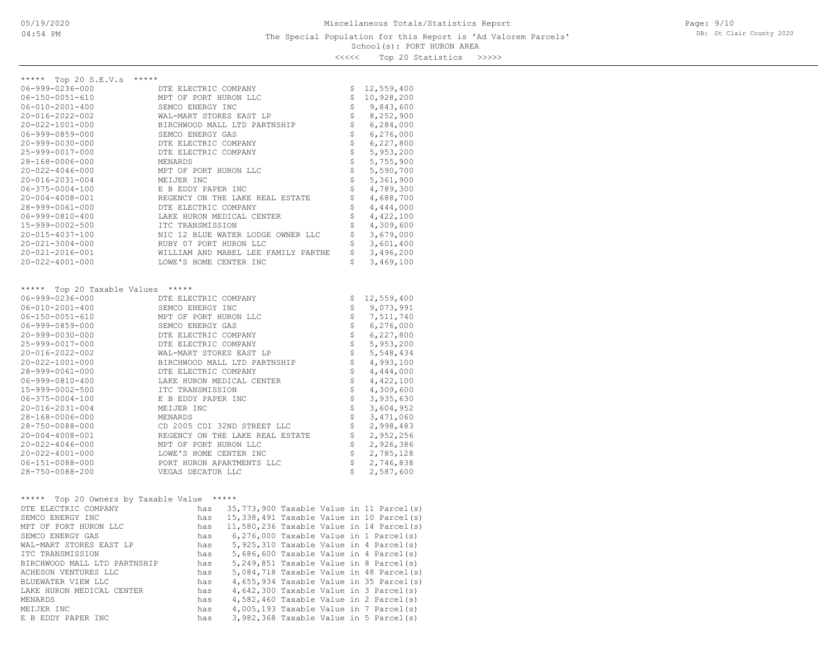## School(s): PORT HURON AREA The Special Population for this Report is 'Ad Valorem Parcels'

Page: 9/10 DB: St Clair County 2020

<<<<< Top 20 Statistics >>>>>

| ***** Top 20 S.E.V.s *****                 |                                                                                                                                                                                                                                  |                                |           |                                                                                                                                                                                                                                           |                                              |  |
|--------------------------------------------|----------------------------------------------------------------------------------------------------------------------------------------------------------------------------------------------------------------------------------|--------------------------------|-----------|-------------------------------------------------------------------------------------------------------------------------------------------------------------------------------------------------------------------------------------------|----------------------------------------------|--|
| $06 - 999 - 0236 - 000$                    |                                                                                                                                                                                                                                  |                                |           | \$                                                                                                                                                                                                                                        | 12,559,400                                   |  |
| $06 - 150 - 0051 - 610$                    | DTE ELECTRIC COMPANY<br>MPT OF PORT HURON LLC<br>SEMCO ENERGY INC                                                                                                                                                                |                                |           | \$                                                                                                                                                                                                                                        | 10,928,200                                   |  |
| $06 - 010 - 2001 - 400$                    |                                                                                                                                                                                                                                  |                                |           | \$                                                                                                                                                                                                                                        | 9,843,600                                    |  |
| 20-016-2022-002                            | WAL-MART STORES EAST LP                                                                                                                                                                                                          | \$                             | 8,252,900 |                                                                                                                                                                                                                                           |                                              |  |
| 20-022-1001-000                            | BIRCHWOOD MALL LTD PARTNSHIP<br>SEMCO ENERGY GAS                                                                                                                                                                                 | $\boldsymbol{\dot{\varsigma}}$ | 6,284,000 |                                                                                                                                                                                                                                           |                                              |  |
| 06-999-0859-000                            |                                                                                                                                                                                                                                  |                                |           | $\boldsymbol{\dot{\varsigma}}$                                                                                                                                                                                                            | 6,276,000                                    |  |
| $20 - 999 - 0030 - 000$                    | DTE ELECTRIC COMPANY                                                                                                                                                                                                             |                                |           | \$                                                                                                                                                                                                                                        | 6,227,800                                    |  |
| 25-999-0017-000                            | DTE ELECTRIC COMPANY                                                                                                                                                                                                             |                                |           | $\dot{\varsigma}$                                                                                                                                                                                                                         | 5,953,200                                    |  |
| 28-168-0006-000                            | MENARDS                                                                                                                                                                                                                          |                                |           | $\boldsymbol{\dot{\varsigma}}$                                                                                                                                                                                                            | 5,755,900                                    |  |
| $20 - 022 - 4046 - 000$                    | MPT OF PORT HURON LLC                                                                                                                                                                                                            |                                |           | $\boldsymbol{\dot{\varsigma}}$                                                                                                                                                                                                            | 5,590,700                                    |  |
| 20-016-2031-004                            | MEIJER INC                                                                                                                                                                                                                       |                                |           | \$                                                                                                                                                                                                                                        | 5,361,900                                    |  |
| $06 - 375 - 0004 - 100$                    | E B EDDY PAPER INC                                                                                                                                                                                                               |                                |           | $\updownarrow$                                                                                                                                                                                                                            | 4,789,300                                    |  |
| 20-004-4008-001                            | REGENCY ON THE LAKE REAL ESTATE                                                                                                                                                                                                  |                                |           | \$                                                                                                                                                                                                                                        | 4,688,700                                    |  |
| 28-999-0061-000                            | DTE ELECTRIC COMPANY                                                                                                                                                                                                             |                                |           | \$                                                                                                                                                                                                                                        | 4,444,000                                    |  |
| $06 - 999 - 0810 - 400$                    | LAKE HURON MEDICAL CENTER                                                                                                                                                                                                        |                                |           | \$                                                                                                                                                                                                                                        | 4,422,100                                    |  |
| 15-999-0002-500                            | ITC TRANSMISSION                                                                                                                                                                                                                 |                                |           | \$                                                                                                                                                                                                                                        | 4,309,600                                    |  |
| 20-015-4037-100                            | NIC 12 BLUE WATER LODGE OWNER LLC                                                                                                                                                                                                |                                |           | \$                                                                                                                                                                                                                                        | 3,679,000                                    |  |
| $20 - 021 - 3004 - 000$                    | RUBY 07 PORT HURON LLC                                                                                                                                                                                                           |                                |           | $\updownarrow$                                                                                                                                                                                                                            | 3,601,400                                    |  |
| 20-021-2016-001                            | WILLIAM AND MABEL LEE FAMILY PARTNE                                                                                                                                                                                              |                                |           |                                                                                                                                                                                                                                           | \$3,496,200                                  |  |
| $20 - 022 - 4001 - 000$                    | LOWE'S HOME CENTER INC                                                                                                                                                                                                           |                                |           | \$                                                                                                                                                                                                                                        | 3,469,100                                    |  |
|                                            |                                                                                                                                                                                                                                  |                                |           |                                                                                                                                                                                                                                           |                                              |  |
|                                            |                                                                                                                                                                                                                                  |                                |           |                                                                                                                                                                                                                                           |                                              |  |
| ***** Top 20 Taxable Values *****          |                                                                                                                                                                                                                                  |                                |           |                                                                                                                                                                                                                                           |                                              |  |
| 06-999-0236-000                            |                                                                                                                                                                                                                                  |                                |           | \$                                                                                                                                                                                                                                        | 12,559,400                                   |  |
| $06 - 010 - 2001 - 400$                    |                                                                                                                                                                                                                                  |                                |           | \$                                                                                                                                                                                                                                        | 9,073,991                                    |  |
| 06-150-0051-610                            | MPT OF PORT HURON LLC                                                                                                                                                                                                            |                                |           | $\updownarrow$                                                                                                                                                                                                                            | 7,511,740                                    |  |
| 06-999-0859-000                            | DTE ELECTRIC COMPANY<br>SEMCO ENERGY INC<br>MPT OF PORT HURON LLC<br>SEMCO ENERGY GAS<br>DTE ELECTRIC COMPANY<br>DTE ELECTRIC COMPANY<br>WAL-MART STORES EAST<br>WAL-MART STORES EAST<br>PTE ELECTRIC COMPANY<br>WAL-MART STORES |                                |           | $\boldsymbol{\dot{\varsigma}}$                                                                                                                                                                                                            | 6,276,000                                    |  |
| 20-999-0030-000                            |                                                                                                                                                                                                                                  |                                |           | $\hat{\varsigma}$                                                                                                                                                                                                                         | 6,227,800                                    |  |
| 25-999-0017-000                            |                                                                                                                                                                                                                                  |                                |           | $\boldsymbol{\mathsf{S}}$                                                                                                                                                                                                                 | 5,953,200                                    |  |
| 20-016-2022-002                            | WAL-MART STORES EAST LP                                                                                                                                                                                                          |                                |           | $\boldsymbol{\mathsf{S}}$                                                                                                                                                                                                                 | 5,548,434                                    |  |
| 20-022-1001-000                            | BIRCHWOOD MALL LTD PARTNSHIP<br>DTE ELECTRIC COMPANY                                                                                                                                                                             |                                |           | $\ddot{\hat{\mathbf{S}}}$                                                                                                                                                                                                                 | 4,993,100                                    |  |
| 28-999-0061-000                            | DTE ELECTRIC COMPANY                                                                                                                                                                                                             |                                |           | $\boldsymbol{\dot{\varsigma}}$                                                                                                                                                                                                            | 4,444,000                                    |  |
| $06 - 999 - 0810 - 400$                    | LAKE HURON MEDICAL CENTER                                                                                                                                                                                                        |                                |           | $\ddot{\varsigma}$                                                                                                                                                                                                                        | 4,422,100                                    |  |
| 15-999-0002-500                            | ITC TRANSMISSION                                                                                                                                                                                                                 |                                |           | \$                                                                                                                                                                                                                                        | 4,309,600                                    |  |
| $06 - 375 - 0004 - 100$                    | E B EDDY PAPER INC                                                                                                                                                                                                               |                                |           | $\boldsymbol{\dot{\varsigma}}$                                                                                                                                                                                                            | 3,935,630                                    |  |
| $20 - 016 - 2031 - 004$                    | MEIJER INC                                                                                                                                                                                                                       |                                |           | \$                                                                                                                                                                                                                                        | 3,604,952                                    |  |
| 28-168-0006-000                            | MENARDS                                                                                                                                                                                                                          |                                |           | $\ddot{\hat{\mathbf{z}}}$                                                                                                                                                                                                                 | 3,471,060                                    |  |
| 28-750-0088-000                            | CD 2005 CDI 32ND STREET LLC                                                                                                                                                                                                      |                                |           | \$                                                                                                                                                                                                                                        | 2,998,483                                    |  |
| $20 - 004 - 4008 - 001$                    |                                                                                                                                                                                                                                  |                                |           | $\hat{\mathcal{Z}}$                                                                                                                                                                                                                       | 2,952,256                                    |  |
| $20 - 022 - 4046 - 000$                    |                                                                                                                                                                                                                                  |                                |           | $\boldsymbol{\dot{\varsigma}}$                                                                                                                                                                                                            | 2,926,386                                    |  |
| $20 - 022 - 4001 - 000$                    | LOWE'S HOME CENTER INC                                                                                                                                                                                                           |                                |           | $\dot{\varsigma}$                                                                                                                                                                                                                         | 2,785,128                                    |  |
| 06-151-0088-000                            | PORT HURON APARTMENTS LLC                                                                                                                                                                                                        |                                |           |                                                                                                                                                                                                                                           | \$2,746,838                                  |  |
| 28-750-0088-200                            | VEGAS DECATUR LLC                                                                                                                                                                                                                |                                |           | $\mathsf{S}$                                                                                                                                                                                                                              | 2,587,600                                    |  |
|                                            |                                                                                                                                                                                                                                  |                                |           |                                                                                                                                                                                                                                           |                                              |  |
|                                            |                                                                                                                                                                                                                                  |                                |           |                                                                                                                                                                                                                                           |                                              |  |
| ***** Top 20 Owners by Taxable Value ***** |                                                                                                                                                                                                                                  |                                |           |                                                                                                                                                                                                                                           |                                              |  |
| DTE ELECTRIC COMPANY                       |                                                                                                                                                                                                                                  |                                |           |                                                                                                                                                                                                                                           | has 35,773,900 Taxable Value in 11 Parcel(s) |  |
| SEMCO ENERGY INC                           |                                                                                                                                                                                                                                  |                                |           |                                                                                                                                                                                                                                           | has 15,338,491 Taxable Value in 10 Parcel(s) |  |
| MPT OF PORT HURON LLC                      |                                                                                                                                                                                                                                  |                                |           | has 11,580,236 Taxable Value in 14 Parcel(s)                                                                                                                                                                                              |                                              |  |
| SEMCO ENERGY GAS                           |                                                                                                                                                                                                                                  |                                |           | has $6,276,000$ Taxable Value in 1 Parcel(s)<br>has $5,925,310$ Taxable Value in 4 Parcel(s)                                                                                                                                              |                                              |  |
| WAL-MART STORES EAST LP                    |                                                                                                                                                                                                                                  |                                |           |                                                                                                                                                                                                                                           |                                              |  |
| ITC TRANSMISSION                           |                                                                                                                                                                                                                                  |                                |           |                                                                                                                                                                                                                                           |                                              |  |
| BIRCHWOOD MALL LTD PARTNSHIP               |                                                                                                                                                                                                                                  |                                |           | has $5,686,600$ Taxable Value in 4 Parcel(s)<br>has $5,686,600$ Taxable Value in 4 Parcel(s)<br>has $5,249,851$ Taxable Value in 8 Parcel(s)<br>has $4,655,934$ Taxable Value in 35 Parcel(s)<br>has $4,642,300$ Taxable Value in 3 Parce |                                              |  |
| ACHESON VENTURES LLC                       |                                                                                                                                                                                                                                  |                                |           |                                                                                                                                                                                                                                           |                                              |  |
| BLUEWATER VIEW LLC                         |                                                                                                                                                                                                                                  |                                |           |                                                                                                                                                                                                                                           |                                              |  |
| LAKE HURON MEDICAL CENTER                  |                                                                                                                                                                                                                                  |                                |           |                                                                                                                                                                                                                                           |                                              |  |
| MENARDS                                    |                                                                                                                                                                                                                                  |                                |           |                                                                                                                                                                                                                                           |                                              |  |
| MEIJER INC                                 |                                                                                                                                                                                                                                  |                                |           |                                                                                                                                                                                                                                           |                                              |  |
| E B EDDY PAPER INC                         | has                                                                                                                                                                                                                              |                                |           |                                                                                                                                                                                                                                           | 3,982,368 Taxable Value in 5 Parcel(s)       |  |